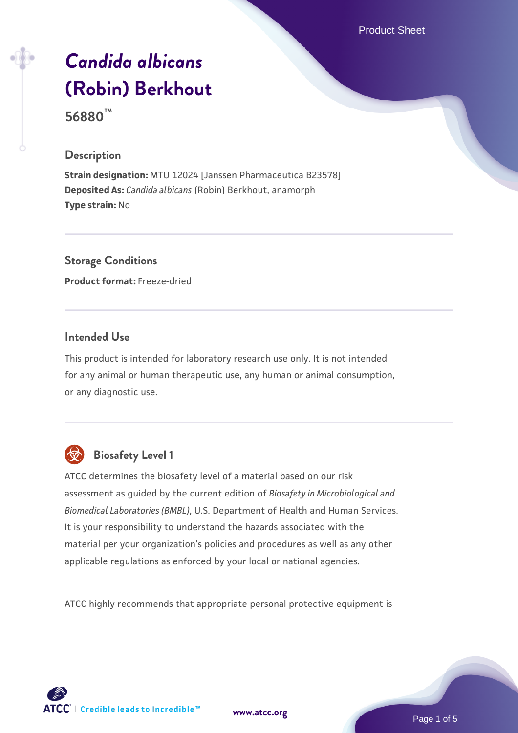Product Sheet

# *[Candida albicans](https://www.atcc.org/products/56880)* **[\(Robin\) Berkhout](https://www.atcc.org/products/56880)**

**56880™**

#### **Description**

**Strain designation:** MTU 12024 [Janssen Pharmaceutica B23578] **Deposited As:** *Candida albicans* (Robin) Berkhout, anamorph **Type strain:** No

**Storage Conditions Product format:** Freeze-dried

#### **Intended Use**

This product is intended for laboratory research use only. It is not intended for any animal or human therapeutic use, any human or animal consumption, or any diagnostic use.



# **Biosafety Level 1**

ATCC determines the biosafety level of a material based on our risk assessment as guided by the current edition of *Biosafety in Microbiological and Biomedical Laboratories (BMBL)*, U.S. Department of Health and Human Services. It is your responsibility to understand the hazards associated with the material per your organization's policies and procedures as well as any other applicable regulations as enforced by your local or national agencies.

ATCC highly recommends that appropriate personal protective equipment is

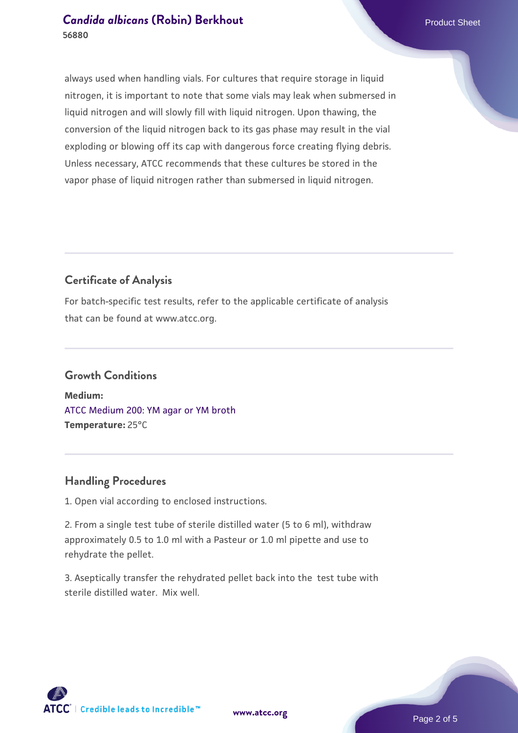#### **[Candida albicans](https://www.atcc.org/products/56880) [\(Robin\) Berkhout](https://www.atcc.org/products/56880) Candida albicans** (Robin) Berkhout **56880**

always used when handling vials. For cultures that require storage in liquid nitrogen, it is important to note that some vials may leak when submersed in liquid nitrogen and will slowly fill with liquid nitrogen. Upon thawing, the conversion of the liquid nitrogen back to its gas phase may result in the vial exploding or blowing off its cap with dangerous force creating flying debris. Unless necessary, ATCC recommends that these cultures be stored in the vapor phase of liquid nitrogen rather than submersed in liquid nitrogen.

### **Certificate of Analysis**

For batch-specific test results, refer to the applicable certificate of analysis that can be found at www.atcc.org.

# **Growth Conditions**

**Medium:**  [ATCC Medium 200: YM agar or YM broth](https://www.atcc.org/-/media/product-assets/documents/microbial-media-formulations/2/0/0/atcc-medium-200.pdf?rev=ac40fd74dc13433a809367b0b9da30fc) **Temperature:** 25°C

#### **Handling Procedures**

1. Open vial according to enclosed instructions.

2. From a single test tube of sterile distilled water (5 to 6 ml), withdraw approximately 0.5 to 1.0 ml with a Pasteur or 1.0 ml pipette and use to rehydrate the pellet.

3. Aseptically transfer the rehydrated pellet back into the test tube with sterile distilled water. Mix well.

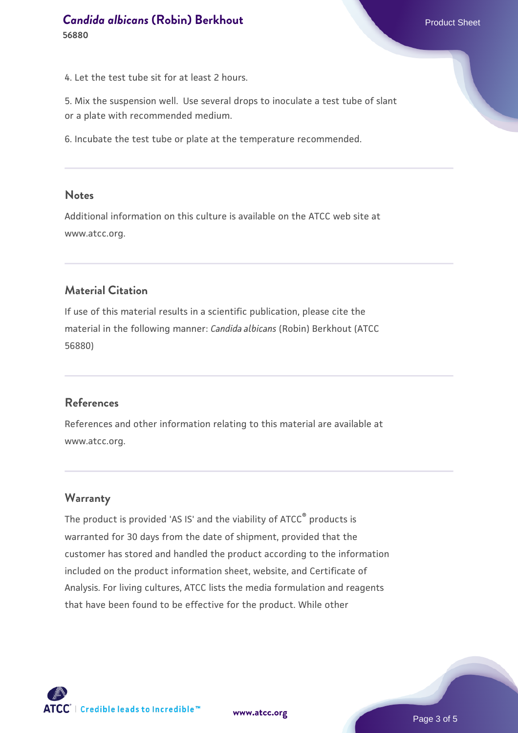# **[Candida albicans](https://www.atcc.org/products/56880) [\(Robin\) Berkhout](https://www.atcc.org/products/56880) Product Sheet** Product Sheet **56880**

4. Let the test tube sit for at least 2 hours.

5. Mix the suspension well. Use several drops to inoculate a test tube of slant or a plate with recommended medium.

6. Incubate the test tube or plate at the temperature recommended.

#### **Notes**

Additional information on this culture is available on the ATCC web site at www.atcc.org.

#### **Material Citation**

If use of this material results in a scientific publication, please cite the material in the following manner: *Candida albicans* (Robin) Berkhout (ATCC 56880)

#### **References**

References and other information relating to this material are available at www.atcc.org.

#### **Warranty**

The product is provided 'AS IS' and the viability of ATCC® products is warranted for 30 days from the date of shipment, provided that the customer has stored and handled the product according to the information included on the product information sheet, website, and Certificate of Analysis. For living cultures, ATCC lists the media formulation and reagents that have been found to be effective for the product. While other

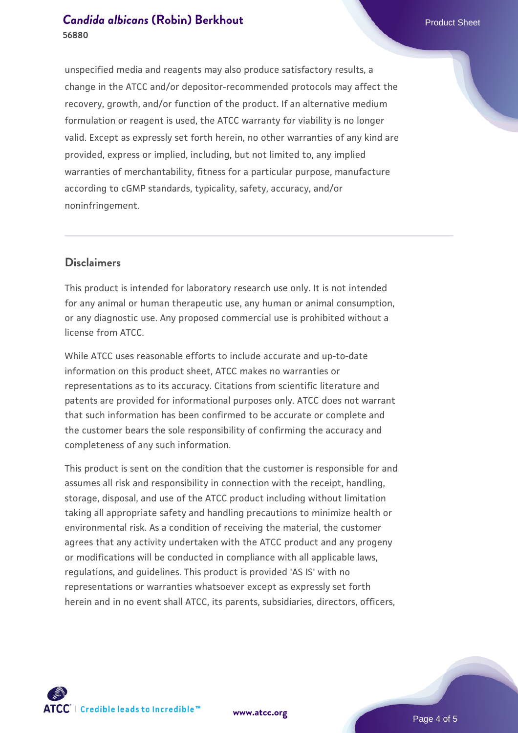#### **[Candida albicans](https://www.atcc.org/products/56880) [\(Robin\) Berkhout](https://www.atcc.org/products/56880) Candida albicans** (Robin) Berkhout **56880**

unspecified media and reagents may also produce satisfactory results, a change in the ATCC and/or depositor-recommended protocols may affect the recovery, growth, and/or function of the product. If an alternative medium formulation or reagent is used, the ATCC warranty for viability is no longer valid. Except as expressly set forth herein, no other warranties of any kind are provided, express or implied, including, but not limited to, any implied warranties of merchantability, fitness for a particular purpose, manufacture according to cGMP standards, typicality, safety, accuracy, and/or noninfringement.

#### **Disclaimers**

This product is intended for laboratory research use only. It is not intended for any animal or human therapeutic use, any human or animal consumption, or any diagnostic use. Any proposed commercial use is prohibited without a license from ATCC.

While ATCC uses reasonable efforts to include accurate and up-to-date information on this product sheet, ATCC makes no warranties or representations as to its accuracy. Citations from scientific literature and patents are provided for informational purposes only. ATCC does not warrant that such information has been confirmed to be accurate or complete and the customer bears the sole responsibility of confirming the accuracy and completeness of any such information.

This product is sent on the condition that the customer is responsible for and assumes all risk and responsibility in connection with the receipt, handling, storage, disposal, and use of the ATCC product including without limitation taking all appropriate safety and handling precautions to minimize health or environmental risk. As a condition of receiving the material, the customer agrees that any activity undertaken with the ATCC product and any progeny or modifications will be conducted in compliance with all applicable laws, regulations, and guidelines. This product is provided 'AS IS' with no representations or warranties whatsoever except as expressly set forth herein and in no event shall ATCC, its parents, subsidiaries, directors, officers,